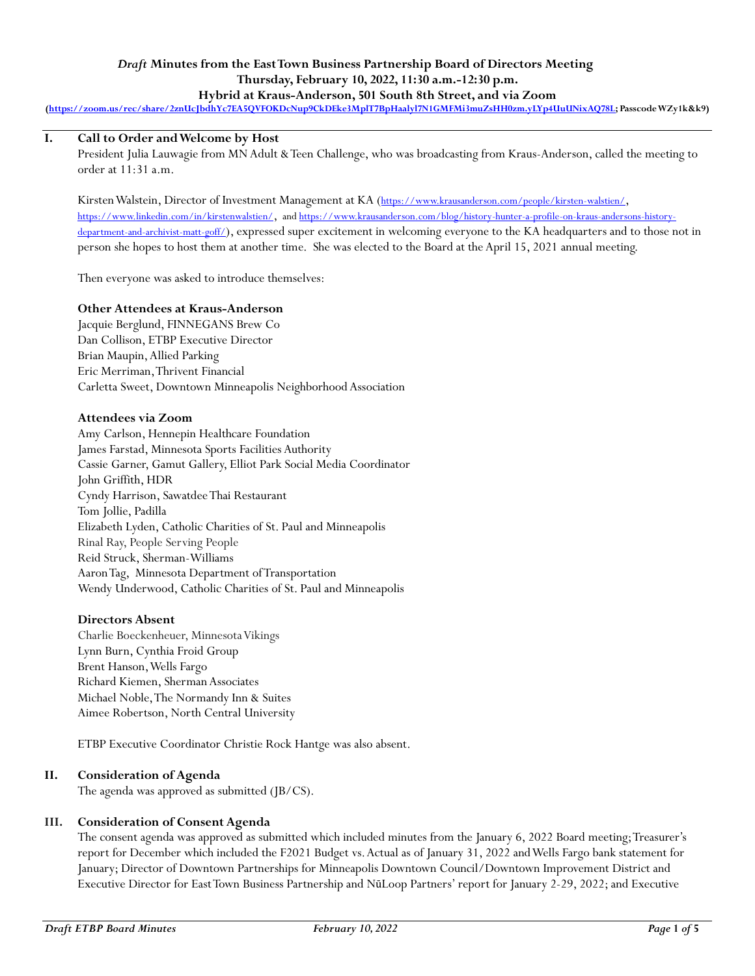### *Draft* **Minutes from the East Town Business Partnership Board of Directors Meeting Thursday, February 10, 2022, 11:30 a.m.-12:30 p.m. Hybrid at Kraus-Anderson, 501 South 8th Street, and via Zoom**

**[\(https://zoom.us/rec/share/2znUcJbdhYc7EA5QVFOKDcNup9CkDEke3MplT7BpHaalyl7N1GMFMi3muZsHH0zm.yLYp4UuUNixAQ78L;](https://zoom.us/rec/share/2znUcJbdhYc7EA5QVFOKDcNup9CkDEke3MplT7BpHaalyl7N1GMFMi3muZsHH0zm.yLYp4UuUNixAQ78L) Passcode WZy1k&k9)**

# **I. Call to Order and Welcome by Host**

President Julia Lauwagie from MN Adult & Teen Challenge, who was broadcasting from Kraus-Anderson, called the meeting to order at 11:31 a.m.

Kirsten Walstein, Director of Investment Management at KA (<https://www.krausanderson.com/people/kirsten-walstien/>, <https://www.linkedin.com/in/kirstenwalstien/>, and [https://www.krausanderson.com/blog/history-hunter-a-profile-on-kraus-andersons-history](https://www.krausanderson.com/blog/history-hunter-a-profile-on-kraus-andersons-history-department-and-archivist-matt-goff/)[department-and-archivist-matt-goff/](https://www.krausanderson.com/blog/history-hunter-a-profile-on-kraus-andersons-history-department-and-archivist-matt-goff/)), expressed super excitement in welcoming everyone to the KA headquarters and to those not in person she hopes to host them at another time. She was elected to the Board at the April 15, 2021 annual meeting.

Then everyone was asked to introduce themselves:

### **Other Attendees at Kraus-Anderson**

Jacquie Berglund, FINNEGANS Brew Co Dan Collison, ETBP Executive Director Brian Maupin, Allied Parking Eric Merriman, Thrivent Financial Carletta Sweet, Downtown Minneapolis Neighborhood Association

### **Attendees via Zoom**

Amy Carlson, Hennepin Healthcare Foundation James Farstad, Minnesota Sports Facilities Authority Cassie Garner, Gamut Gallery, Elliot Park Social Media Coordinator John Griffith, HDR Cyndy Harrison, Sawatdee Thai Restaurant Tom Jollie, Padilla Elizabeth Lyden, Catholic Charities of St. Paul and Minneapolis Rinal Ray, People Serving People Reid Struck, Sherman-Williams Aaron Tag, Minnesota Department of Transportation Wendy Underwood, Catholic Charities of St. Paul and Minneapolis

### **Directors Absent**

Charlie Boeckenheuer, Minnesota Vikings Lynn Burn, Cynthia Froid Group Brent Hanson,Wells Fargo Richard Kiemen, Sherman Associates Michael Noble,The Normandy Inn & Suites Aimee Robertson, North Central University

ETBP Executive Coordinator Christie Rock Hantge was also absent.

### **II. Consideration of Agenda**

The agenda was approved as submitted (JB/CS).

### **III. Consideration of Consent Agenda**

The consent agenda was approved as submitted which included minutes from the January 6, 2022 Board meeting; Treasurer's report for December which included the F2021 Budget vs. Actual as of January 31, 2022 and Wells Fargo bank statement for January; Director of Downtown Partnerships for Minneapolis Downtown Council/Downtown Improvement District and Executive Director for East Town Business Partnership and NūLoop Partners' report for January 2-29, 2022; and Executive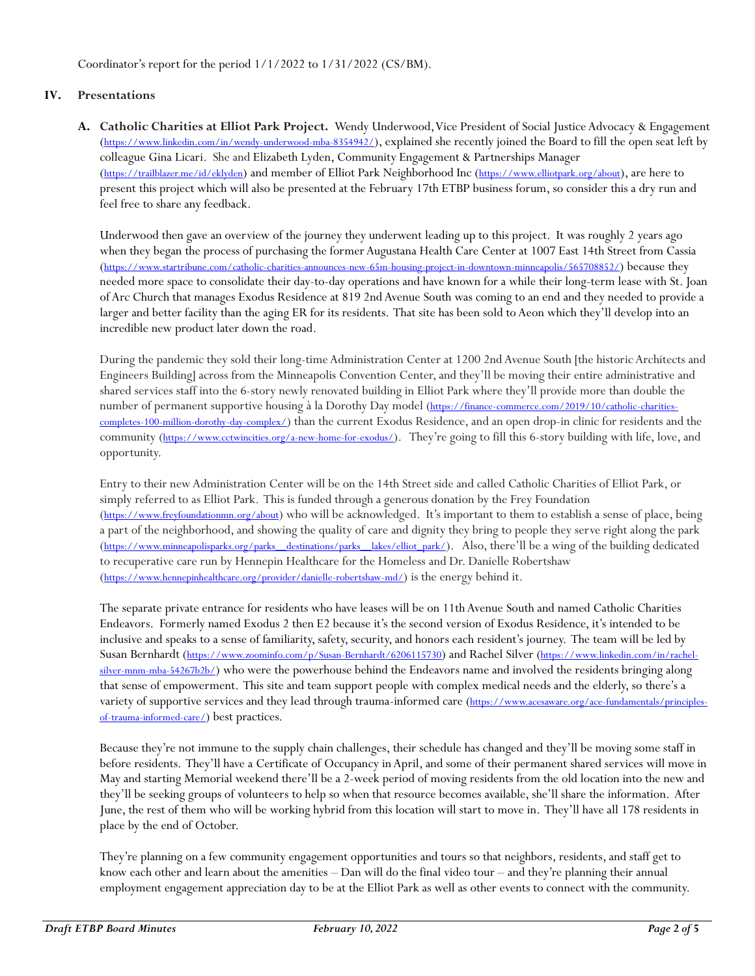Coordinator's report for the period 1/1/2022 to 1/31/2022 (CS/BM).

# **IV. Presentations**

**A. Catholic Charities at Elliot Park Project.** Wendy Underwood, Vice President of Social Justice Advocacy & Engagement (<https://www.linkedin.com/in/wendy-underwood-mba-8354942/>), explained she recently joined the Board to fill the open seat left by colleague Gina Licari. She and Elizabeth Lyden, Community Engagement & Partnerships Manager (<https://trailblazer.me/id/eklyden>) and member of Elliot Park Neighborhood Inc (<https://www.elliotpark.org/about>), are here to present this project which will also be presented at the February 17th ETBP business forum, so consider this a dry run and feel free to share any feedback.

Underwood then gave an overview of the journey they underwent leading up to this project. It was roughly 2 years ago when they began the process of purchasing the former Augustana Health Care Center at 1007 East 14th Street from Cassia (<https://www.startribune.com/catholic-charities-announces-new-65m-housing-project-in-downtown-minneapolis/565708852/>) because they needed more space to consolidate their day-to-day operations and have known for a while their long-term lease with St. Joan of Arc Church that manages Exodus Residence at 819 2nd Avenue South was coming to an end and they needed to provide a larger and better facility than the aging ER for its residents. That site has been sold to Aeon which they'll develop into an incredible new product later down the road.

During the pandemic they sold their long-time Administration Center at 1200 2nd Avenue South [the historic Architects and Engineers Building] across from the Minneapolis Convention Center, and they'll be moving their entire administrative and shared services staff into the 6-story newly renovated building in Elliot Park where they'll provide more than double the number of permanent supportive housing à la Dorothy Day model ([https://finance-commerce.com/2019/10/catholic-charities](https://finance-commerce.com/2019/10/catholic-charities-completes-100-million-dorothy-day-complex/)[completes-100-million-dorothy-day-complex/](https://finance-commerce.com/2019/10/catholic-charities-completes-100-million-dorothy-day-complex/)) than the current Exodus Residence, and an open drop-in clinic for residents and the community (<https://www.cctwincities.org/a-new-home-for-exodus/>). They're going to fill this 6-story building with life, love, and opportunity.

Entry to their new Administration Center will be on the 14th Street side and called Catholic Charities of Elliot Park, or simply referred to as Elliot Park. This is funded through a generous donation by the Frey Foundation (<https://www.freyfoundationmn.org/about>) who will be acknowledged. It's important to them to establish a sense of place, being a part of the neighborhood, and showing the quality of care and dignity they bring to people they serve right along the park (https://www.minneapolisparks.org/parks\_destinations/parks\_lakes/elliot\_park/). Also, there'll be a wing of the building dedicated to recuperative care run by Hennepin Healthcare for the Homeless and Dr. Danielle Robertshaw (<https://www.hennepinhealthcare.org/provider/danielle-robertshaw-md/>) is the energy behind it.

The separate private entrance for residents who have leases will be on 11th Avenue South and named Catholic Charities Endeavors. Formerly named Exodus 2 then E2 because it's the second version of Exodus Residence, it's intended to be inclusive and speaks to a sense of familiarity, safety, security, and honors each resident's journey. The team will be led by Susan Bernhardt (<https://www.zoominfo.com/p/Susan-Bernhardt/6206115730>) and Rachel Silver ([https://www.linkedin.com/in/rachel](https://www.linkedin.com/in/rachel-silver-mnm-mba-54267b2b/)[silver-mnm-mba-54267b2b/](https://www.linkedin.com/in/rachel-silver-mnm-mba-54267b2b/)) who were the powerhouse behind the Endeavors name and involved the residents bringing along that sense of empowerment. This site and team support people with complex medical needs and the elderly, so there's a variety of supportive services and they lead through trauma-informed care ([https://www.acesaware.org/ace-fundamentals/principles](https://www.acesaware.org/ace-fundamentals/principles-of-trauma-informed-care/)[of-trauma-informed-care/](https://www.acesaware.org/ace-fundamentals/principles-of-trauma-informed-care/)) best practices.

Because they're not immune to the supply chain challenges, their schedule has changed and they'll be moving some staff in before residents. They'll have a Certificate of Occupancy inApril, and some of their permanent shared services will move in May and starting Memorial weekend there'll be a 2-week period of moving residents from the old location into the new and they'll be seeking groups of volunteers to help so when that resource becomes available, she'll share the information. After June, the rest of them who will be working hybrid from this location will start to move in. They'll have all 178 residents in place by the end of October.

They're planning on a few community engagement opportunities and tours so that neighbors, residents, and staff get to know each other and learn about the amenities – Dan will do the final video tour – and they're planning their annual employment engagement appreciation day to be at the Elliot Park as well as other events to connect with the community.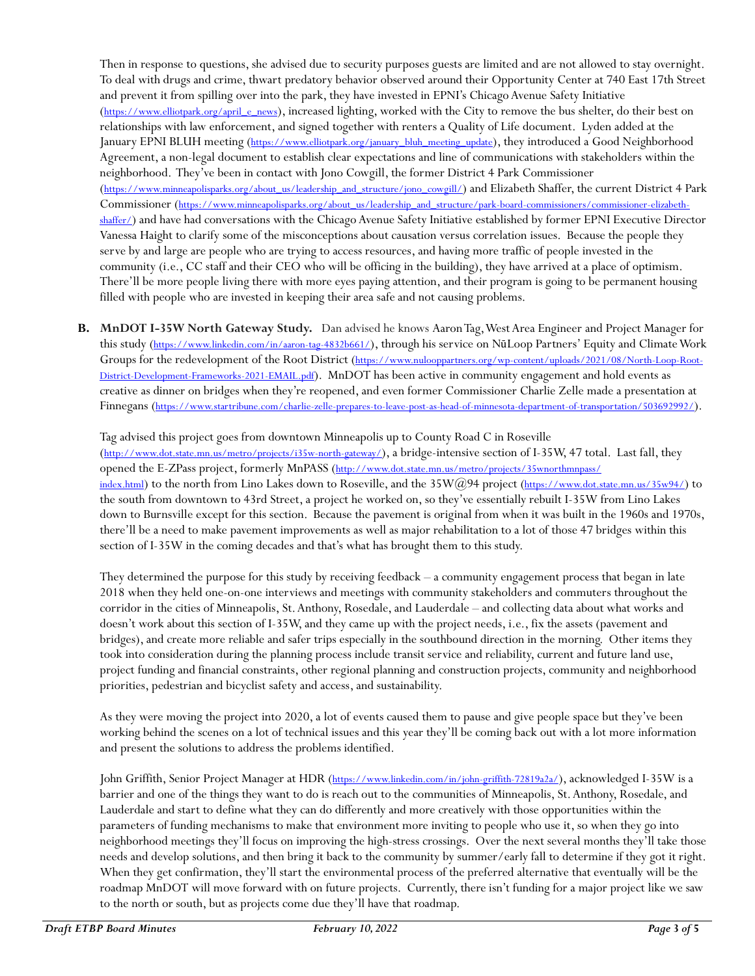Then in response to questions, she advised due to security purposes guests are limited and are not allowed to stay overnight. To deal with drugs and crime, thwart predatory behavior observed around their Opportunity Center at 740 East 17th Street and prevent it from spilling over into the park, they have invested in EPNI's Chicago Avenue Safety Initiative ([https://www.elliotpark.org/april\\_e\\_news](https://www.elliotpark.org/april_e_news)), increased lighting, worked with the City to remove the bus shelter, do their best on relationships with law enforcement, and signed together with renters a Quality of Life document. Lyden added at the January EPNI BLUH meeting (*https://www.elliotpark.org/january*\_bluh\_meeting\_update), they introduced a Good Neighborhood Agreement, a non-legal document to establish clear expectations and line of communications with stakeholders within the neighborhood. They've been in contact with Jono Cowgill, the former District 4 Park Commissioner ([https://www.minneapolisparks.org/about\\_us/leadership\\_and\\_structure/jono\\_cowgill/](https://www.minneapolisparks.org/about_us/leadership_and_structure/jono_cowgill/)) and Elizabeth Shaffer, the current District 4 Park Commissioner ([https://www.minneapolisparks.org/about\\_us/leadership\\_and\\_structure/park-board-commissioners/commissioner-elizabeth](https://www.minneapolisparks.org/about_us/leadership_and_structure/park-board-commissioners/commissioner-elizabeth-shaffer/)[shaffer/](https://www.minneapolisparks.org/about_us/leadership_and_structure/park-board-commissioners/commissioner-elizabeth-shaffer/)) and have had conversations with the Chicago Avenue Safety Initiative established by former EPNI Executive Director Vanessa Haight to clarify some of the misconceptions about causation versus correlation issues. Because the people they serve by and large are people who are trying to access resources, and having more traffic of people invested in the community (i.e., CC staff and their CEO who will be officing in the building), they have arrived at a place of optimism. There'll be more people living there with more eyes paying attention, and their program is going to be permanent housing filled with people who are invested in keeping their area safe and not causing problems.

**B. MnDOT I-35W North Gateway Study.** Dan advised he knows Aaron Tag, West Area Engineer and Project Manager for this study (<https://www.linkedin.com/in/aaron-tag-4832b661/>), through his service on NūLoop Partners' Equity and Climate Work Groups for the redevelopment of the Root District ([https://www.nulooppartners.org/wp-content/uploads/2021/08/North-Loop-Root-](https://www.nulooppartners.org/wp-content/uploads/2021/08/North-Loop-Root-District-Development-Frameworks-2021-EMAIL.pdf)[District-Development-Frameworks-2021-EMAIL.pdf](https://www.nulooppartners.org/wp-content/uploads/2021/08/North-Loop-Root-District-Development-Frameworks-2021-EMAIL.pdf)). MnDOT has been active in community engagement and hold events as creative as dinner on bridges when they're reopened, and even former Commissioner Charlie Zelle made a presentation at Finnegans (<https://www.startribune.com/charlie-zelle-prepares-to-leave-post-as-head-of-minnesota-department-of-transportation/503692992/>).

Tag advised this project goes from downtown Minneapolis up to County Road C in Roseville (<http://www.dot.state.mn.us/metro/projects/i35w-north-gateway/>), a bridge-intensive section of I-35W, 47 total. Last fall, they opened the E-ZPass project, formerly MnPASS ([http://www.dot.state.mn.us/metro/projects/35wnorthmnpass/](http://www.dot.state.mn.us/metro/projects/35wnorthmnpass/%0bindex.html) [index.html](http://www.dot.state.mn.us/metro/projects/35wnorthmnpass/%0bindex.html)) to the north from Lino Lakes down to Roseville, and the 35W@94 project (<https://www.dot.state.mn.us/35w94/>) to the south from downtown to 43rd Street, a project he worked on, so they've essentially rebuilt I-35W from Lino Lakes down to Burnsville except for this section. Because the pavement is original from when it was built in the 1960s and 1970s, there'll be a need to make pavement improvements as well as major rehabilitation to a lot of those 47 bridges within this section of I-35W in the coming decades and that's what has brought them to this study.

They determined the purpose for this study by receiving feedback – a community engagement process that began in late 2018 when they held one-on-one interviews and meetings with community stakeholders and commuters throughout the corridor in the cities of Minneapolis, St. Anthony, Rosedale, and Lauderdale – and collecting data about what works and doesn't work about this section of I-35W, and they came up with the project needs, i.e., fix the assets (pavement and bridges), and create more reliable and safer trips especially in the southbound direction in the morning. Other items they took into consideration during the planning process include transit service and reliability, current and future land use, project funding and financial constraints, other regional planning and construction projects, community and neighborhood priorities, pedestrian and bicyclist safety and access, and sustainability.

As they were moving the project into 2020, a lot of events caused them to pause and give people space but they've been working behind the scenes on a lot of technical issues and this year they'll be coming back out with a lot more information and present the solutions to address the problems identified.

John Griffith, Senior Project Manager at HDR (<https://www.linkedin.com/in/john-griffith-72819a2a/>), acknowledged I-35W is a barrier and one of the things they want to do is reach out to the communities of Minneapolis, St. Anthony, Rosedale, and Lauderdale and start to define what they can do differently and more creatively with those opportunities within the parameters of funding mechanisms to make that environment more inviting to people who use it, so when they go into neighborhood meetings they'll focus on improving the high-stress crossings. Over the next several months they'll take those needs and develop solutions, and then bring it back to the community by summer/early fall to determine if they got it right. When they get confirmation, they'll start the environmental process of the preferred alternative that eventually will be the roadmap MnDOT will move forward with on future projects. Currently, there isn't funding for a major project like we saw to the north or south, but as projects come due they'll have that roadmap.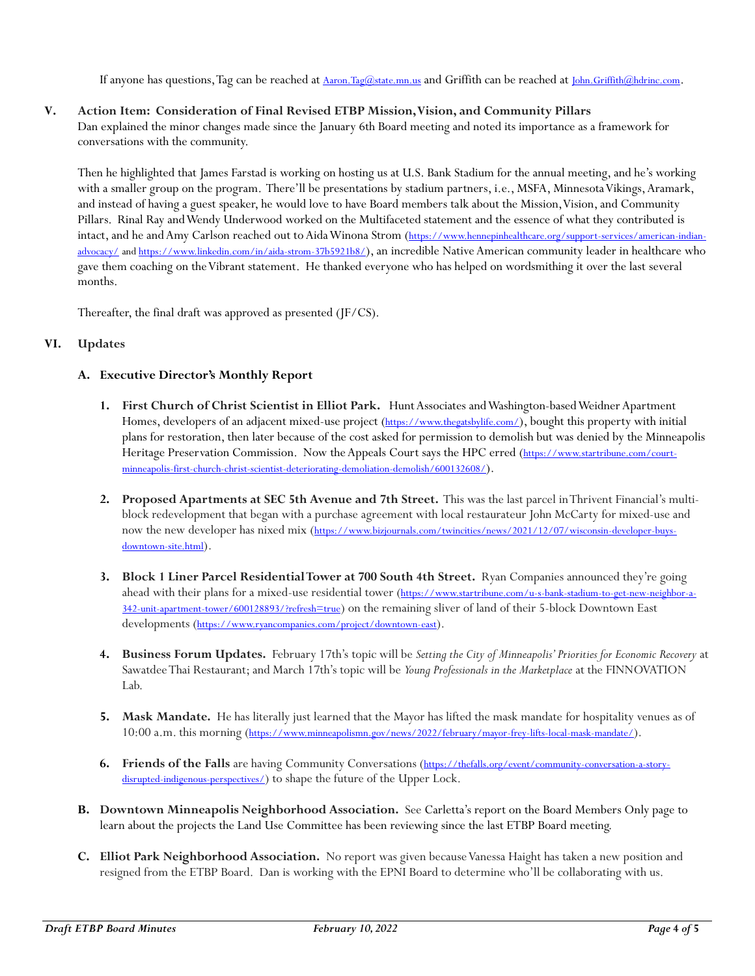If anyone has questions, Tag can be reached at [Aaron.Tag@state.mn.us](mailto:Aaron.Tag@state.mn.us) and Griffith can be reached at [John.Griffith@hdrinc.com](mailto:John.Griffith@hdrinc.com).

### **V. Action Item: Consideration of Final Revised ETBP Mission, Vision, and Community Pillars**

Dan explained the minor changes made since the January 6th Board meeting and noted its importance as a framework for conversations with the community.

Then he highlighted that James Farstad is working on hosting us at U.S. Bank Stadium for the annual meeting, and he's working with a smaller group on the program. There'll be presentations by stadium partners, i.e., MSFA, Minnesota Vikings, Aramark, and instead of having a guest speaker, he would love to have Board members talk about the Mission, Vision, and Community Pillars. Rinal Ray and Wendy Underwood worked on the Multifaceted statement and the essence of what they contributed is intact, and he and Amy Carlson reached out to Aida Winona Strom ([https://www.hennepinhealthcare.org/support-services/american-indian](https://www.hennepinhealthcare.org/support-services/american-indian-advocacy/)[advocacy/](https://www.hennepinhealthcare.org/support-services/american-indian-advocacy/) an[d https://www.linkedin.com/in/aida-strom-37b5921b8/](https://www.linkedin.com/in/aida-strom-37b5921b8/)), an incredible Native American community leader in healthcare who gave them coaching on the Vibrant statement. He thanked everyone who has helped on wordsmithing it over the last several months.

Thereafter, the final draft was approved as presented (JF/CS).

## **VI. Updates**

# **A. Executive Director's Monthly Report**

- **1. First Church of Christ Scientist in Elliot Park.** Hunt Associates and Washington-based Weidner Apartment Homes, developers of an adjacent mixed-use project (<https://www.thegatsbylife.com/>), bought this property with initial plans for restoration, then later because of the cost asked for permission to demolish but was denied by the Minneapolis Heritage Preservation Commission. Now the Appeals Court says the HPC erred ([https://www.startribune.com/court](https://www.startribune.com/court-minneapolis-first-church-christ-scientist-deteriorating-demoliation-demolish/600132608/)[minneapolis-first-church-christ-scientist-deteriorating-demoliation-demolish/600132608/](https://www.startribune.com/court-minneapolis-first-church-christ-scientist-deteriorating-demoliation-demolish/600132608/)).
- **2. Proposed Apartments at SEC 5th Avenue and 7th Street.** This was the last parcel in Thrivent Financial's multiblock redevelopment that began with a purchase agreement with local restaurateur John McCarty for mixed-use and now the new developer has nixed mix ([https://www.bizjournals.com/twincities/news/2021/12/07/wisconsin-developer-buys](https://www.bizjournals.com/twincities/news/2021/12/07/wisconsin-developer-buys-downtown-site.html)[downtown-site.html](https://www.bizjournals.com/twincities/news/2021/12/07/wisconsin-developer-buys-downtown-site.html)).
- **3. Block 1 Liner Parcel Residential Tower at 700 South 4th Street.** Ryan Companies announced they're going ahead with their plans for a mixed-use residential tower ([https://www.startribune.com/u-s-bank-stadium-to-get-new-neighbor-a-](https://www.startribune.com/u-s-bank-stadium-to-get-new-neighbor-a-342-unit-apartment-tower/600128893/?refresh=true)[342-unit-apartment-tower/600128893/?refresh=true](https://www.startribune.com/u-s-bank-stadium-to-get-new-neighbor-a-342-unit-apartment-tower/600128893/?refresh=true)) on the remaining sliver of land of their 5-block Downtown East developments (<https://www.ryancompanies.com/project/downtown-east>).
- **4. Business Forum Updates.** February 17th's topic will be *Setting the City of Minneapolis' Priorities for Economic Recovery* at Sawatdee Thai Restaurant; and March 17th's topic will be *Young Professionals in the Marketplace* at the FINNOVATION Lab.
- **5. Mask Mandate.** He has literally just learned that the Mayor has lifted the mask mandate for hospitality venues as of 10:00 a.m. this morning (<https://www.minneapolismn.gov/news/2022/february/mayor-frey-lifts-local-mask-mandate/>).
- **6. Friends of the Falls** are having Community Conversations ([https://thefalls.org/event/community-conversation-a-story](https://thefalls.org/event/community-conversation-a-story-disrupted-indigenous-perspectives/)[disrupted-indigenous-perspectives/](https://thefalls.org/event/community-conversation-a-story-disrupted-indigenous-perspectives/)) to shape the future of the Upper Lock.
- **B. Downtown Minneapolis Neighborhood Association.** See Carletta's report on the Board Members Only page to learn about the projects the Land Use Committee has been reviewing since the last ETBP Board meeting.
- **C. Elliot Park Neighborhood Association.** No report was given because Vanessa Haight has taken a new position and resigned from the ETBP Board. Dan is working with the EPNI Board to determine who'll be collaborating with us.